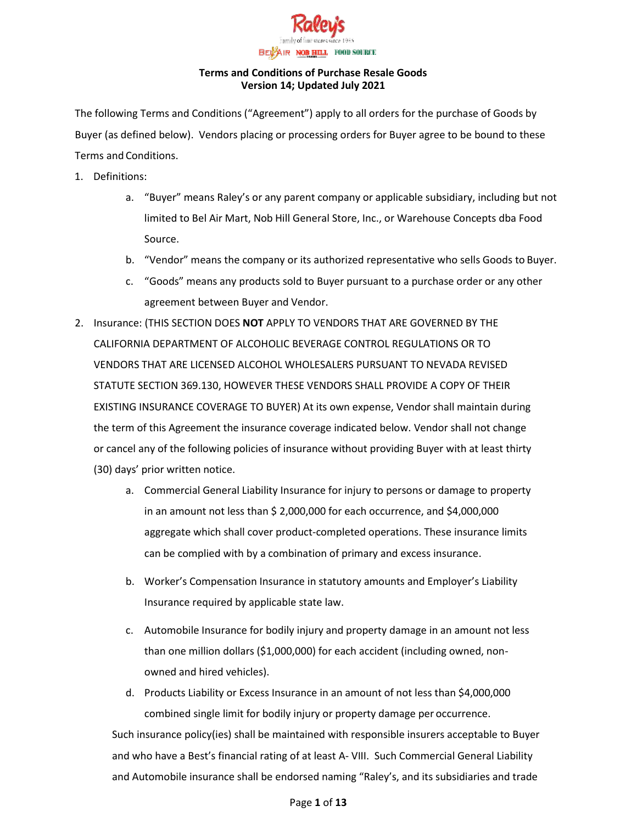

The following Terms and Conditions ("Agreement") apply to all orders for the purchase of Goods by Buyer (as defined below). Vendors placing or processing orders for Buyer agree to be bound to these Terms and Conditions.

- 1. Definitions:
	- a. "Buyer" means Raley's or any parent company or applicable subsidiary, including but not limited to Bel Air Mart, Nob Hill General Store, Inc., or Warehouse Concepts dba Food Source.
	- b. "Vendor" means the company or its authorized representative who sells Goods to Buyer.
	- c. "Goods" means any products sold to Buyer pursuant to a purchase order or any other agreement between Buyer and Vendor.
- 2. Insurance: (THIS SECTION DOES **NOT** APPLY TO VENDORS THAT ARE GOVERNED BY THE CALIFORNIA DEPARTMENT OF ALCOHOLIC BEVERAGE CONTROL REGULATIONS OR TO VENDORS THAT ARE LICENSED ALCOHOL WHOLESALERS PURSUANT TO NEVADA REVISED STATUTE SECTION 369.130, HOWEVER THESE VENDORS SHALL PROVIDE A COPY OF THEIR EXISTING INSURANCE COVERAGE TO BUYER) At its own expense, Vendor shall maintain during the term of this Agreement the insurance coverage indicated below. Vendor shall not change or cancel any of the following policies of insurance without providing Buyer with at least thirty (30) days' prior written notice.
	- a. Commercial General Liability Insurance for injury to persons or damage to property in an amount not less than \$ 2,000,000 for each occurrence, and \$4,000,000 aggregate which shall cover product-completed operations. These insurance limits can be complied with by a combination of primary and excess insurance.
	- b. Worker's Compensation Insurance in statutory amounts and Employer's Liability Insurance required by applicable state law.
	- c. Automobile Insurance for bodily injury and property damage in an amount not less than one million dollars (\$1,000,000) for each accident (including owned, nonowned and hired vehicles).
	- d. Products Liability or Excess Insurance in an amount of not less than \$4,000,000 combined single limit for bodily injury or property damage per occurrence.

Such insurance policy(ies) shall be maintained with responsible insurers acceptable to Buyer and who have a Best's financial rating of at least A- VIII. Such Commercial General Liability and Automobile insurance shall be endorsed naming "Raley's, and its subsidiaries and trade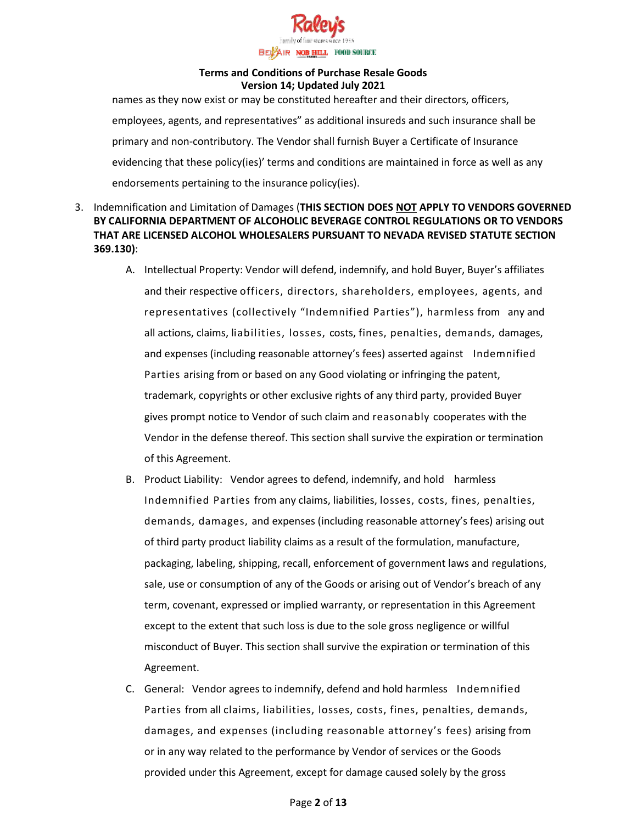

names as they now exist or may be constituted hereafter and their directors, officers, employees, agents, and representatives" as additional insureds and such insurance shall be primary and non-contributory. The Vendor shall furnish Buyer a Certificate of Insurance evidencing that these policy(ies)' terms and conditions are maintained in force as well as any endorsements pertaining to the insurance policy(ies).

- 3. Indemnification and Limitation of Damages (**THIS SECTION DOES NOT APPLY TO VENDORS GOVERNED BY CALIFORNIA DEPARTMENT OF ALCOHOLIC BEVERAGE CONTROL REGULATIONS OR TO VENDORS THAT ARE LICENSED ALCOHOL WHOLESALERS PURSUANT TO NEVADA REVISED STATUTE SECTION 369.130)**:
	- A. Intellectual Property: Vendor will defend, indemnify, and hold Buyer, Buyer's affiliates and their respective officers, directors, shareholders, employees, agents, and representatives (collectively "Indemnified Parties"), harmless from any and all actions, claims, liabilities, losses, costs, fines, penalties, demands, damages, and expenses (including reasonable attorney's fees) asserted against Indemnified Parties arising from or based on any Good violating or infringing the patent, trademark, copyrights or other exclusive rights of any third party, provided Buyer gives prompt notice to Vendor of such claim and reasonably cooperates with the Vendor in the defense thereof. This section shall survive the expiration or termination of this Agreement.
	- B. Product Liability: Vendor agrees to defend, indemnify, and hold harmless Indemnified Parties from any claims, liabilities, losses, costs, fines, penalties, demands, damages, and expenses (including reasonable attorney's fees) arising out of third party product liability claims as a result of the formulation, manufacture, packaging, labeling, shipping, recall, enforcement of government laws and regulations, sale, use or consumption of any of the Goods or arising out of Vendor's breach of any term, covenant, expressed or implied warranty, or representation in this Agreement except to the extent that such loss is due to the sole gross negligence or willful misconduct of Buyer. This section shall survive the expiration or termination of this Agreement.
	- C. General: Vendor agrees to indemnify, defend and hold harmless Indemnified Parties from all claims, liabilities, losses, costs, fines, penalties, demands, damages, and expenses (including reasonable attorney's fees) arising from or in any way related to the performance by Vendor of services or the Goods provided under this Agreement, except for damage caused solely by the gross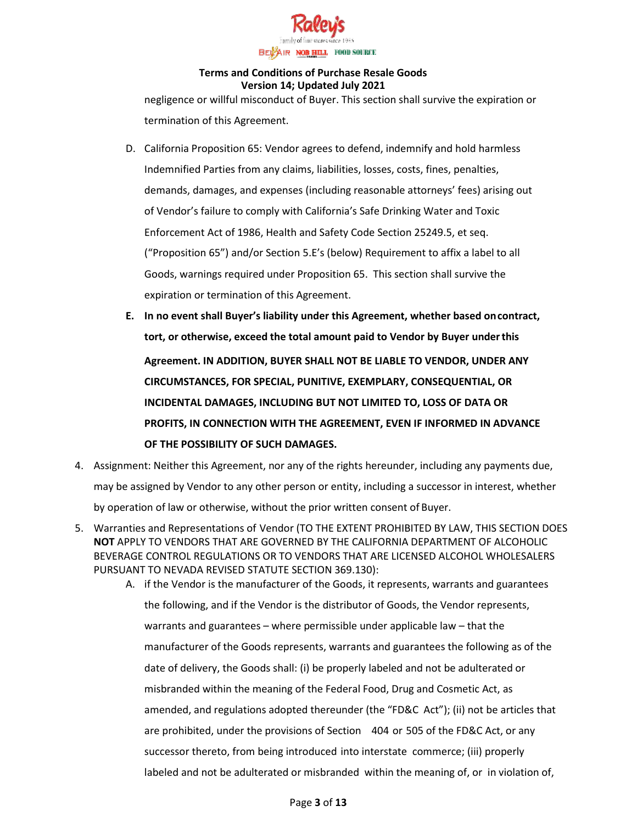

negligence or willful misconduct of Buyer. This section shall survive the expiration or termination of this Agreement.

- D. California Proposition 65: Vendor agrees to defend, indemnify and hold harmless Indemnified Parties from any claims, liabilities, losses, costs, fines, penalties, demands, damages, and expenses (including reasonable attorneys' fees) arising out of Vendor's failure to comply with California's Safe Drinking Water and Toxic Enforcement Act of 1986, Health and Safety Code Section 25249.5, et seq. ("Proposition 65") and/or Section 5.E's (below) Requirement to affix a label to all Goods, warnings required under Proposition 65. This section shall survive the expiration or termination of this Agreement.
- **E. In no event shall Buyer's liability under this Agreement, whether based oncontract, tort, or otherwise, exceed the total amount paid to Vendor by Buyer underthis Agreement. IN ADDITION, BUYER SHALL NOT BE LIABLE TO VENDOR, UNDER ANY CIRCUMSTANCES, FOR SPECIAL, PUNITIVE, EXEMPLARY, CONSEQUENTIAL, OR INCIDENTAL DAMAGES, INCLUDING BUT NOT LIMITED TO, LOSS OF DATA OR PROFITS, IN CONNECTION WITH THE AGREEMENT, EVEN IF INFORMED IN ADVANCE OF THE POSSIBILITY OF SUCH DAMAGES.**
- 4. Assignment: Neither this Agreement, nor any of the rights hereunder, including any payments due, may be assigned by Vendor to any other person or entity, including a successor in interest, whether by operation of law or otherwise, without the prior written consent of Buyer.
- 5. Warranties and Representations of Vendor (TO THE EXTENT PROHIBITED BY LAW, THIS SECTION DOES **NOT** APPLY TO VENDORS THAT ARE GOVERNED BY THE CALIFORNIA DEPARTMENT OF ALCOHOLIC BEVERAGE CONTROL REGULATIONS OR TO VENDORS THAT ARE LICENSED ALCOHOL WHOLESALERS PURSUANT TO NEVADA REVISED STATUTE SECTION 369.130):
	- A. if the Vendor is the manufacturer of the Goods, it represents, warrants and guarantees the following, and if the Vendor is the distributor of Goods, the Vendor represents, warrants and guarantees – where permissible under applicable law – that the manufacturer of the Goods represents, warrants and guarantees the following as of the date of delivery, the Goods shall: (i) be properly labeled and not be adulterated or misbranded within the meaning of the Federal Food, Drug and Cosmetic Act, as amended, and regulations adopted thereunder (the "FD&C Act"); (ii) not be articles that are prohibited, under the provisions of Section 404 or 505 of the FD&C Act, or any successor thereto, from being introduced into interstate commerce; (iii) properly labeled and not be adulterated or misbranded within the meaning of, or in violation of,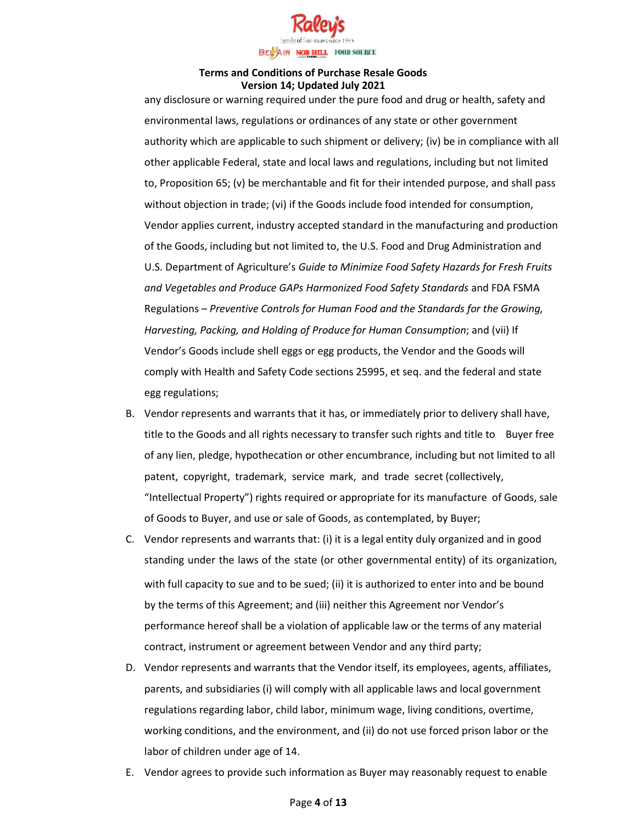

any disclosure or warning required under the pure food and drug or health, safety and environmental laws, regulations or ordinances of any state or other government authority which are applicable to such shipment or delivery; (iv) be in compliance with all other applicable Federal, state and local laws and regulations, including but not limited to, Proposition 65; (v) be merchantable and fit for their intended purpose, and shall pass without objection in trade; (vi) if the Goods include food intended for consumption, Vendor applies current, industry accepted standard in the manufacturing and production of the Goods, including but not limited to, the U.S. Food and Drug Administration and U.S. Department of Agriculture's *Guide to Minimize Food Safety Hazards for Fresh Fruits and Vegetables and Produce GAPs Harmonized Food Safety Standards* and FDA FSMA Regulations – *Preventive Controls for Human Food and the Standards for the Growing, Harvesting, Packing, and Holding of Produce for Human Consumption*; and (vii) If Vendor's Goods include shell eggs or egg products, the Vendor and the Goods will comply with Health and Safety Code sections 25995, et seq. and the federal and state egg regulations;

- B. Vendor represents and warrants that it has, or immediately prior to delivery shall have, title to the Goods and all rights necessary to transfer such rights and title to Buyer free of any lien, pledge, hypothecation or other encumbrance, including but not limited to all patent, copyright, trademark, service mark, and trade secret (collectively, "Intellectual Property") rights required or appropriate for its manufacture of Goods, sale of Goods to Buyer, and use or sale of Goods, as contemplated, by Buyer;
- C. Vendor represents and warrants that: (i) it is a legal entity duly organized and in good standing under the laws of the state (or other governmental entity) of its organization, with full capacity to sue and to be sued; (ii) it is authorized to enter into and be bound by the terms of this Agreement; and (iii) neither this Agreement nor Vendor's performance hereof shall be a violation of applicable law or the terms of any material contract, instrument or agreement between Vendor and any third party;
- D. Vendor represents and warrants that the Vendor itself, its employees, agents, affiliates, parents, and subsidiaries (i) will comply with all applicable laws and local government regulations regarding labor, child labor, minimum wage, living conditions, overtime, working conditions, and the environment, and (ii) do not use forced prison labor or the labor of children under age of 14.
- E. Vendor agrees to provide such information as Buyer may reasonably request to enable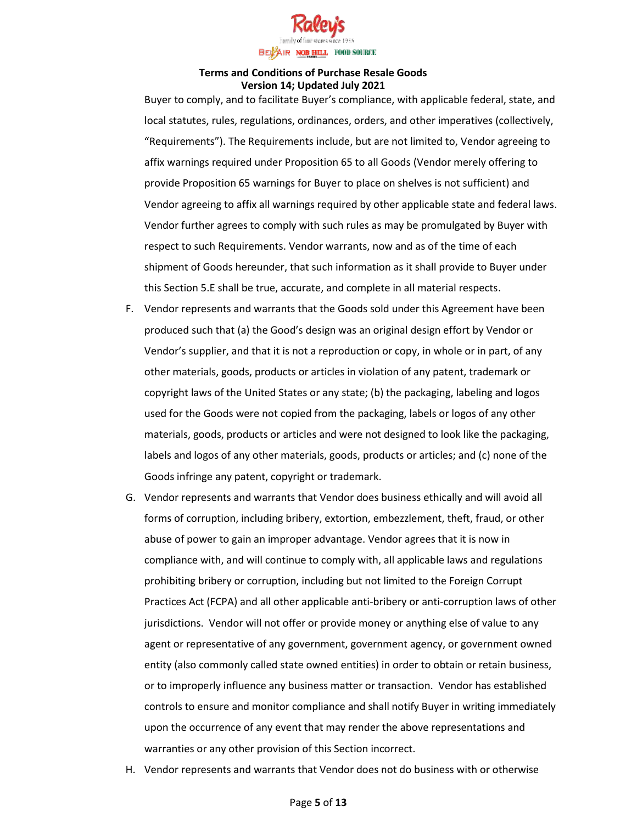

Buyer to comply, and to facilitate Buyer's compliance, with applicable federal, state, and local statutes, rules, regulations, ordinances, orders, and other imperatives (collectively, "Requirements"). The Requirements include, but are not limited to, Vendor agreeing to affix warnings required under Proposition 65 to all Goods (Vendor merely offering to provide Proposition 65 warnings for Buyer to place on shelves is not sufficient) and Vendor agreeing to affix all warnings required by other applicable state and federal laws. Vendor further agrees to comply with such rules as may be promulgated by Buyer with respect to such Requirements. Vendor warrants, now and as of the time of each shipment of Goods hereunder, that such information as it shall provide to Buyer under this Section 5.E shall be true, accurate, and complete in all material respects.

- F. Vendor represents and warrants that the Goods sold under this Agreement have been produced such that (a) the Good's design was an original design effort by Vendor or Vendor's supplier, and that it is not a reproduction or copy, in whole or in part, of any other materials, goods, products or articles in violation of any patent, trademark or copyright laws of the United States or any state; (b) the packaging, labeling and logos used for the Goods were not copied from the packaging, labels or logos of any other materials, goods, products or articles and were not designed to look like the packaging, labels and logos of any other materials, goods, products or articles; and (c) none of the Goods infringe any patent, copyright or trademark.
- G. Vendor represents and warrants that Vendor does business ethically and will avoid all forms of corruption, including bribery, extortion, embezzlement, theft, fraud, or other abuse of power to gain an improper advantage. Vendor agrees that it is now in compliance with, and will continue to comply with, all applicable laws and regulations prohibiting bribery or corruption, including but not limited to the Foreign Corrupt Practices Act (FCPA) and all other applicable anti-bribery or anti-corruption laws of other jurisdictions. Vendor will not offer or provide money or anything else of value to any agent or representative of any government, government agency, or government owned entity (also commonly called state owned entities) in order to obtain or retain business, or to improperly influence any business matter or transaction. Vendor has established controls to ensure and monitor compliance and shall notify Buyer in writing immediately upon the occurrence of any event that may render the above representations and warranties or any other provision of this Section incorrect.
- H. Vendor represents and warrants that Vendor does not do business with or otherwise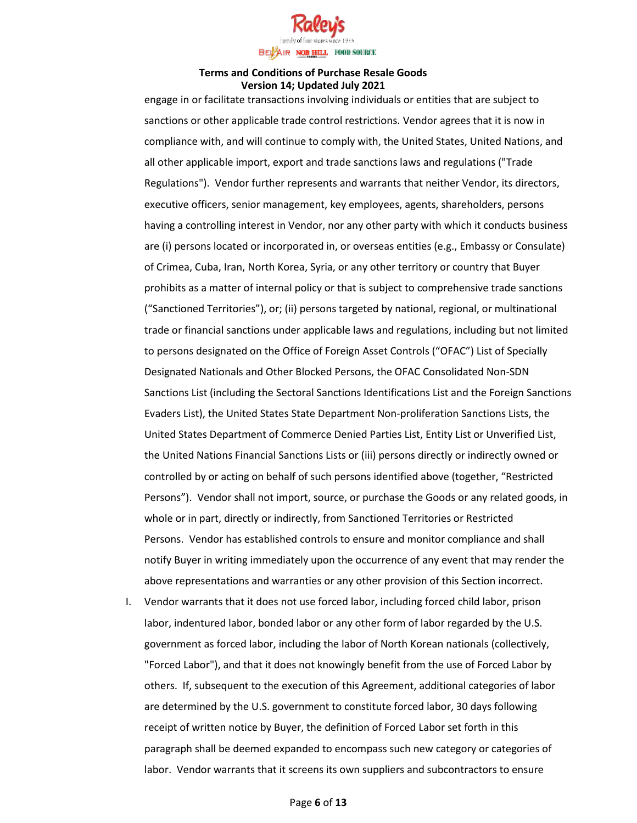

engage in or facilitate transactions involving individuals or entities that are subject to sanctions or other applicable trade control restrictions. Vendor agrees that it is now in compliance with, and will continue to comply with, the United States, United Nations, and all other applicable import, export and trade sanctions laws and regulations ("Trade Regulations"). Vendor further represents and warrants that neither Vendor, its directors, executive officers, senior management, key employees, agents, shareholders, persons having a controlling interest in Vendor, nor any other party with which it conducts business are (i) persons located or incorporated in, or overseas entities (e.g., Embassy or Consulate) of Crimea, Cuba, Iran, North Korea, Syria, or any other territory or country that Buyer prohibits as a matter of internal policy or that is subject to comprehensive trade sanctions ("Sanctioned Territories"), or; (ii) persons targeted by national, regional, or multinational trade or financial sanctions under applicable laws and regulations, including but not limited to persons designated on the Office of Foreign Asset Controls ("OFAC") List of Specially Designated Nationals and Other Blocked Persons, the OFAC Consolidated Non-SDN Sanctions List (including the Sectoral Sanctions Identifications List and the Foreign Sanctions Evaders List), the United States State Department Non-proliferation Sanctions Lists, the United States Department of Commerce Denied Parties List, Entity List or Unverified List, the United Nations Financial Sanctions Lists or (iii) persons directly or indirectly owned or controlled by or acting on behalf of such persons identified above (together, "Restricted Persons"). Vendor shall not import, source, or purchase the Goods or any related goods, in whole or in part, directly or indirectly, from Sanctioned Territories or Restricted Persons. Vendor has established controls to ensure and monitor compliance and shall notify Buyer in writing immediately upon the occurrence of any event that may render the above representations and warranties or any other provision of this Section incorrect.

I. Vendor warrants that it does not use forced labor, including forced child labor, prison labor, indentured labor, bonded labor or any other form of labor regarded by the U.S. government as forced labor, including the labor of North Korean nationals (collectively, "Forced Labor"), and that it does not knowingly benefit from the use of Forced Labor by others. If, subsequent to the execution of this Agreement, additional categories of labor are determined by the U.S. government to constitute forced labor, 30 days following receipt of written notice by Buyer, the definition of Forced Labor set forth in this paragraph shall be deemed expanded to encompass such new category or categories of labor. Vendor warrants that it screens its own suppliers and subcontractors to ensure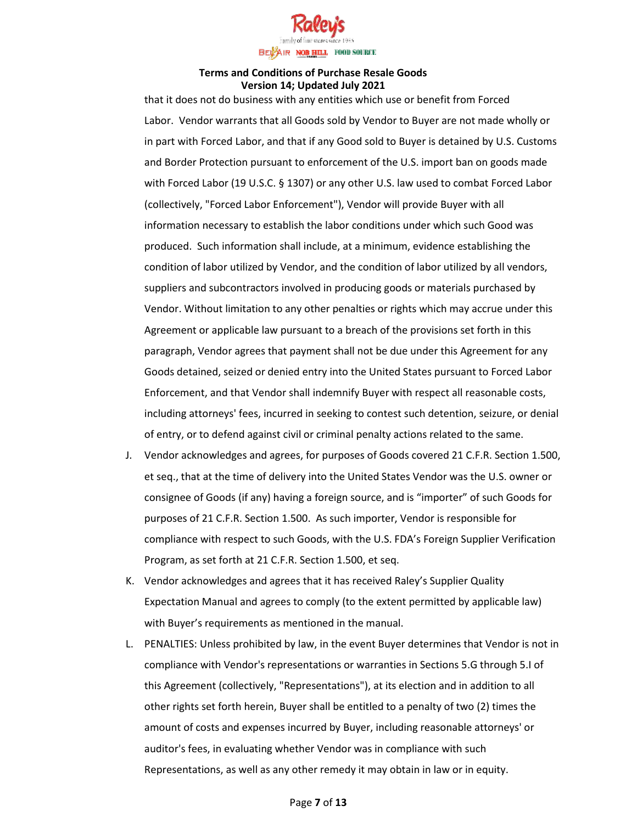

that it does not do business with any entities which use or benefit from Forced Labor. Vendor warrants that all Goods sold by Vendor to Buyer are not made wholly or in part with Forced Labor, and that if any Good sold to Buyer is detained by U.S. Customs and Border Protection pursuant to enforcement of the U.S. import ban on goods made with Forced Labor (19 U.S.C. § 1307) or any other U.S. law used to combat Forced Labor (collectively, "Forced Labor Enforcement"), Vendor will provide Buyer with all information necessary to establish the labor conditions under which such Good was produced. Such information shall include, at a minimum, evidence establishing the condition of labor utilized by Vendor, and the condition of labor utilized by all vendors, suppliers and subcontractors involved in producing goods or materials purchased by Vendor. Without limitation to any other penalties or rights which may accrue under this Agreement or applicable law pursuant to a breach of the provisions set forth in this paragraph, Vendor agrees that payment shall not be due under this Agreement for any Goods detained, seized or denied entry into the United States pursuant to Forced Labor Enforcement, and that Vendor shall indemnify Buyer with respect all reasonable costs, including attorneys' fees, incurred in seeking to contest such detention, seizure, or denial of entry, or to defend against civil or criminal penalty actions related to the same.

- J. Vendor acknowledges and agrees, for purposes of Goods covered 21 C.F.R. Section 1.500, et seq., that at the time of delivery into the United States Vendor was the U.S. owner or consignee of Goods (if any) having a foreign source, and is "importer" of such Goods for purposes of 21 C.F.R. Section 1.500. As such importer, Vendor is responsible for compliance with respect to such Goods, with the U.S. FDA's Foreign Supplier Verification Program, as set forth at 21 C.F.R. Section 1.500, et seq.
- K. Vendor acknowledges and agrees that it has received Raley's Supplier Quality Expectation Manual and agrees to comply (to the extent permitted by applicable law) with Buyer's requirements as mentioned in the manual.
- L. PENALTIES: Unless prohibited by law, in the event Buyer determines that Vendor is not in compliance with Vendor's representations or warranties in Sections 5.G through 5.I of this Agreement (collectively, "Representations"), at its election and in addition to all other rights set forth herein, Buyer shall be entitled to a penalty of two (2) times the amount of costs and expenses incurred by Buyer, including reasonable attorneys' or auditor's fees, in evaluating whether Vendor was in compliance with such Representations, as well as any other remedy it may obtain in law or in equity.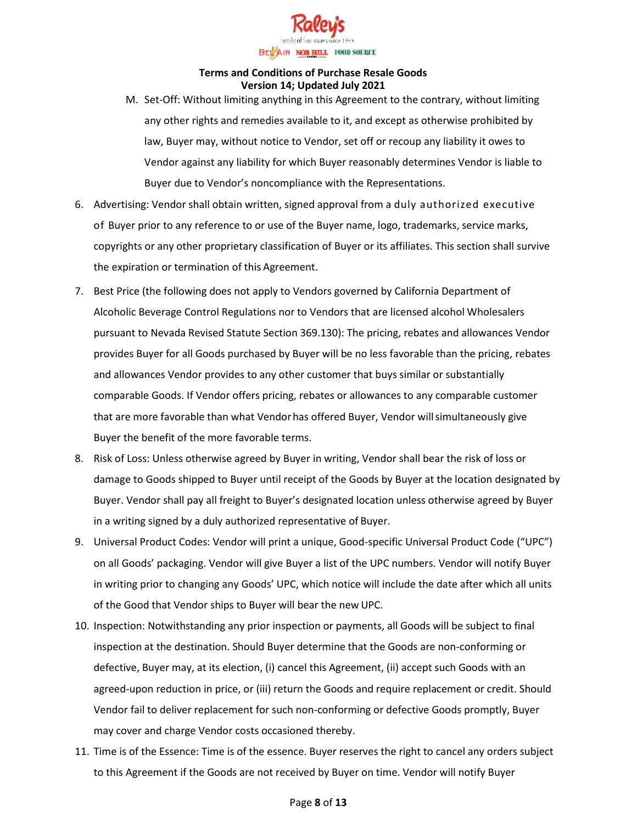

- M. Set-Off: Without limiting anything in this Agreement to the contrary, without limiting any other rights and remedies available to it, and except as otherwise prohibited by law, Buyer may, without notice to Vendor, set off or recoup any liability it owes to Vendor against any liability for which Buyer reasonably determines Vendor is liable to Buyer due to Vendor's noncompliance with the Representations.
- 6. Advertising: Vendor shall obtain written, signed approval from a duly authorized executive of Buyer prior to any reference to or use of the Buyer name, logo, trademarks, service marks, copyrights or any other proprietary classification of Buyer or its affiliates. This section shall survive the expiration or termination of this Agreement.
- 7. Best Price (the following does not apply to Vendors governed by California Department of Alcoholic Beverage Control Regulations nor to Vendors that are licensed alcohol Wholesalers pursuant to Nevada Revised Statute Section 369.130): The pricing, rebates and allowances Vendor provides Buyer for all Goods purchased by Buyer will be no less favorable than the pricing, rebates and allowances Vendor provides to any other customer that buys similar or substantially comparable Goods. If Vendor offers pricing, rebates or allowances to any comparable customer that are more favorable than what Vendorhas offered Buyer, Vendor will simultaneously give Buyer the benefit of the more favorable terms.
- 8. Risk of Loss: Unless otherwise agreed by Buyer in writing, Vendor shall bear the risk of loss or damage to Goods shipped to Buyer until receipt of the Goods by Buyer at the location designated by Buyer. Vendor shall pay all freight to Buyer's designated location unless otherwise agreed by Buyer in a writing signed by a duly authorized representative of Buyer.
- 9. Universal Product Codes: Vendor will print a unique, Good-specific Universal Product Code ("UPC") on all Goods' packaging. Vendor will give Buyer a list of the UPC numbers. Vendor will notify Buyer in writing prior to changing any Goods' UPC, which notice will include the date after which all units of the Good that Vendor ships to Buyer will bear the new UPC.
- 10. Inspection: Notwithstanding any prior inspection or payments, all Goods will be subject to final inspection at the destination. Should Buyer determine that the Goods are non-conforming or defective, Buyer may, at its election, (i) cancel this Agreement, (ii) accept such Goods with an agreed-upon reduction in price, or (iii) return the Goods and require replacement or credit. Should Vendor fail to deliver replacement for such non-conforming or defective Goods promptly, Buyer may cover and charge Vendor costs occasioned thereby.
- 11. Time is of the Essence: Time is of the essence. Buyer reserves the right to cancel any orders subject to this Agreement if the Goods are not received by Buyer on time. Vendor will notify Buyer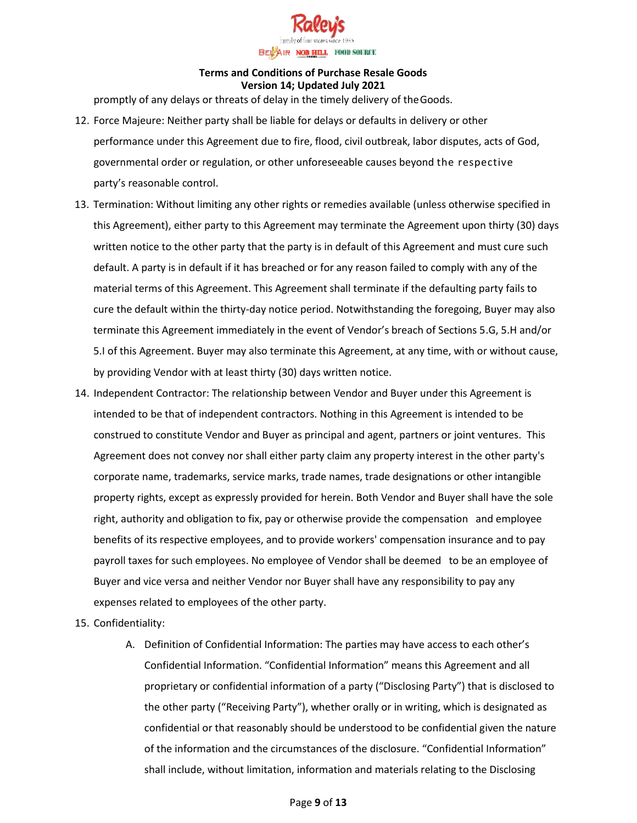

promptly of any delays or threats of delay in the timely delivery of theGoods.

- 12. Force Majeure: Neither party shall be liable for delays or defaults in delivery or other performance under this Agreement due to fire, flood, civil outbreak, labor disputes, acts of God, governmental order or regulation, or other unforeseeable causes beyond the respective party's reasonable control.
- 13. Termination: Without limiting any other rights or remedies available (unless otherwise specified in this Agreement), either party to this Agreement may terminate the Agreement upon thirty (30) days written notice to the other party that the party is in default of this Agreement and must cure such default. A party is in default if it has breached or for any reason failed to comply with any of the material terms of this Agreement. This Agreement shall terminate if the defaulting party fails to cure the default within the thirty-day notice period. Notwithstanding the foregoing, Buyer may also terminate this Agreement immediately in the event of Vendor's breach of Sections 5.G, 5.H and/or 5.I of this Agreement. Buyer may also terminate this Agreement, at any time, with or without cause, by providing Vendor with at least thirty (30) days written notice.
- 14. Independent Contractor: The relationship between Vendor and Buyer under this Agreement is intended to be that of independent contractors. Nothing in this Agreement is intended to be construed to constitute Vendor and Buyer as principal and agent, partners or joint ventures. This Agreement does not convey nor shall either party claim any property interest in the other party's corporate name, trademarks, service marks, trade names, trade designations or other intangible property rights, except as expressly provided for herein. Both Vendor and Buyer shall have the sole right, authority and obligation to fix, pay or otherwise provide the compensation and employee benefits of its respective employees, and to provide workers' compensation insurance and to pay payroll taxes for such employees. No employee of Vendor shall be deemed to be an employee of Buyer and vice versa and neither Vendor nor Buyer shall have any responsibility to pay any expenses related to employees of the other party.
- 15. Confidentiality:
	- A. Definition of Confidential Information: The parties may have access to each other's Confidential Information. "Confidential Information" means this Agreement and all proprietary or confidential information of a party ("Disclosing Party") that is disclosed to the other party ("Receiving Party"), whether orally or in writing, which is designated as confidential or that reasonably should be understood to be confidential given the nature of the information and the circumstances of the disclosure. "Confidential Information" shall include, without limitation, information and materials relating to the Disclosing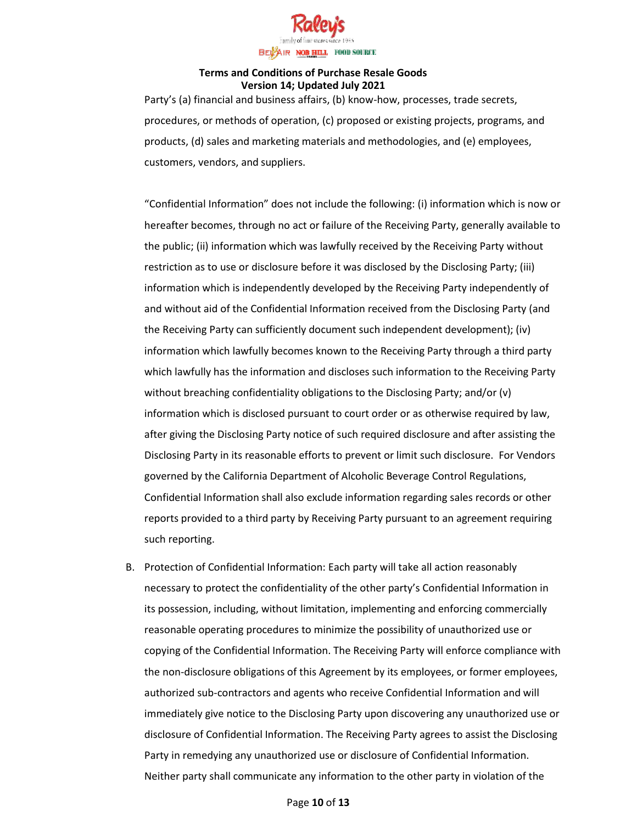

Party's (a) financial and business affairs, (b) know-how, processes, trade secrets, procedures, or methods of operation, (c) proposed or existing projects, programs, and products, (d) sales and marketing materials and methodologies, and (e) employees, customers, vendors, and suppliers.

"Confidential Information" does not include the following: (i) information which is now or hereafter becomes, through no act or failure of the Receiving Party, generally available to the public; (ii) information which was lawfully received by the Receiving Party without restriction as to use or disclosure before it was disclosed by the Disclosing Party; (iii) information which is independently developed by the Receiving Party independently of and without aid of the Confidential Information received from the Disclosing Party (and the Receiving Party can sufficiently document such independent development); (iv) information which lawfully becomes known to the Receiving Party through a third party which lawfully has the information and discloses such information to the Receiving Party without breaching confidentiality obligations to the Disclosing Party; and/or (v) information which is disclosed pursuant to court order or as otherwise required by law, after giving the Disclosing Party notice of such required disclosure and after assisting the Disclosing Party in its reasonable efforts to prevent or limit such disclosure. For Vendors governed by the California Department of Alcoholic Beverage Control Regulations, Confidential Information shall also exclude information regarding sales records or other reports provided to a third party by Receiving Party pursuant to an agreement requiring such reporting.

B. Protection of Confidential Information: Each party will take all action reasonably necessary to protect the confidentiality of the other party's Confidential Information in its possession, including, without limitation, implementing and enforcing commercially reasonable operating procedures to minimize the possibility of unauthorized use or copying of the Confidential Information. The Receiving Party will enforce compliance with the non-disclosure obligations of this Agreement by its employees, or former employees, authorized sub-contractors and agents who receive Confidential Information and will immediately give notice to the Disclosing Party upon discovering any unauthorized use or disclosure of Confidential Information. The Receiving Party agrees to assist the Disclosing Party in remedying any unauthorized use or disclosure of Confidential Information. Neither party shall communicate any information to the other party in violation of the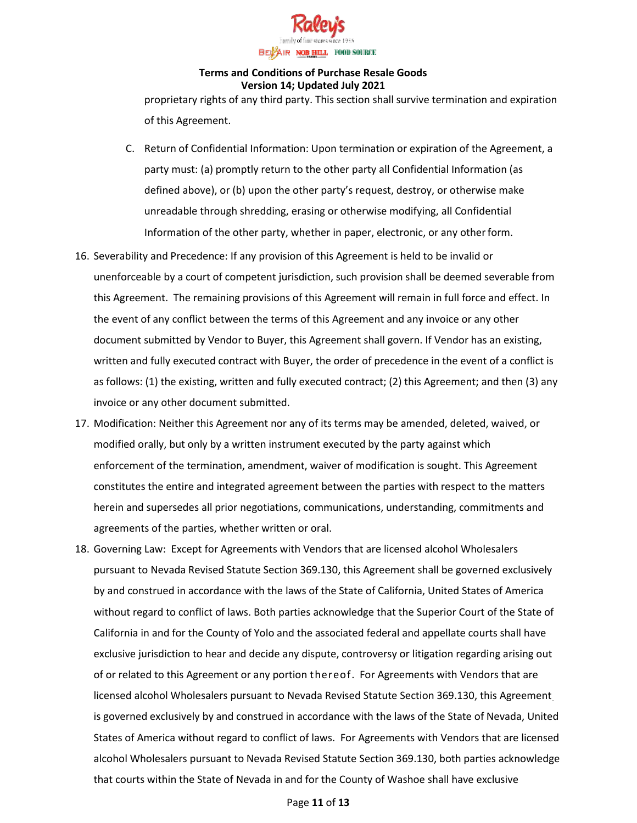

proprietary rights of any third party. This section shall survive termination and expiration of this Agreement.

- C. Return of Confidential Information: Upon termination or expiration of the Agreement, a party must: (a) promptly return to the other party all Confidential Information (as defined above), or (b) upon the other party's request, destroy, or otherwise make unreadable through shredding, erasing or otherwise modifying, all Confidential Information of the other party, whether in paper, electronic, or any otherform.
- 16. Severability and Precedence: If any provision of this Agreement is held to be invalid or unenforceable by a court of competent jurisdiction, such provision shall be deemed severable from this Agreement. The remaining provisions of this Agreement will remain in full force and effect. In the event of any conflict between the terms of this Agreement and any invoice or any other document submitted by Vendor to Buyer, this Agreement shall govern. If Vendor has an existing, written and fully executed contract with Buyer, the order of precedence in the event of a conflict is as follows: (1) the existing, written and fully executed contract; (2) this Agreement; and then (3) any invoice or any other document submitted.
- 17. Modification: Neither this Agreement nor any of its terms may be amended, deleted, waived, or modified orally, but only by a written instrument executed by the party against which enforcement of the termination, amendment, waiver of modification is sought. This Agreement constitutes the entire and integrated agreement between the parties with respect to the matters herein and supersedes all prior negotiations, communications, understanding, commitments and agreements of the parties, whether written or oral.
- 18. Governing Law: Except for Agreements with Vendors that are licensed alcohol Wholesalers pursuant to Nevada Revised Statute Section 369.130, this Agreement shall be governed exclusively by and construed in accordance with the laws of the State of California, United States of America without regard to conflict of laws. Both parties acknowledge that the Superior Court of the State of California in and for the County of Yolo and the associated federal and appellate courts shall have exclusive jurisdiction to hear and decide any dispute, controversy or litigation regarding arising out of or related to this Agreement or any portion thereof. For Agreements with Vendors that are licensed alcohol Wholesalers pursuant to Nevada Revised Statute Section 369.130, this Agreement is governed exclusively by and construed in accordance with the laws of the State of Nevada, United States of America without regard to conflict of laws. For Agreements with Vendors that are licensed alcohol Wholesalers pursuant to Nevada Revised Statute Section 369.130, both parties acknowledge that courts within the State of Nevada in and for the County of Washoe shall have exclusive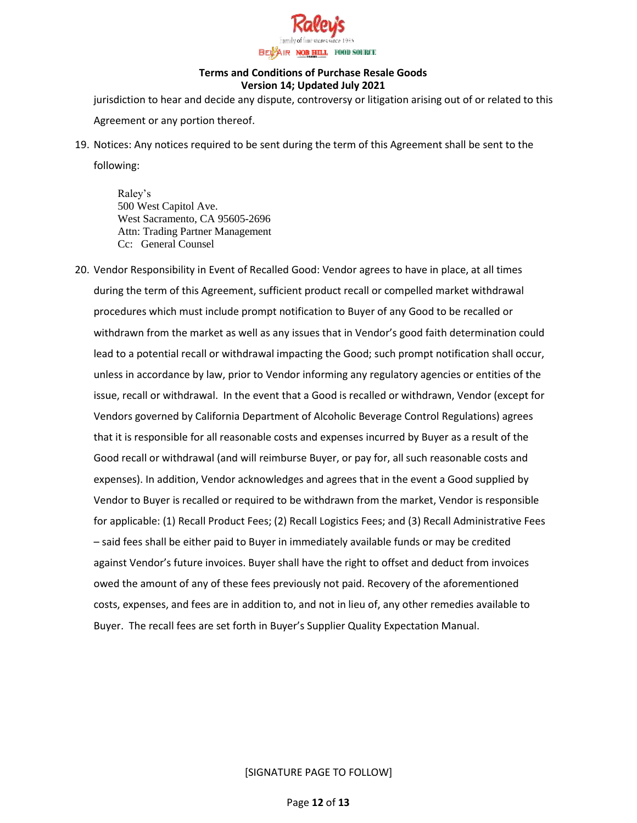

jurisdiction to hear and decide any dispute, controversy or litigation arising out of or related to this Agreement or any portion thereof.

19. Notices: Any notices required to be sent during the term of this Agreement shall be sent to the

following:

Raley's 500 West Capitol Ave. West Sacramento, CA 95605-2696 Attn: Trading Partner Management Cc: General Counsel

20. Vendor Responsibility in Event of Recalled Good: Vendor agrees to have in place, at all times during the term of this Agreement, sufficient product recall or compelled market withdrawal procedures which must include prompt notification to Buyer of any Good to be recalled or withdrawn from the market as well as any issues that in Vendor's good faith determination could lead to a potential recall or withdrawal impacting the Good; such prompt notification shall occur, unless in accordance by law, prior to Vendor informing any regulatory agencies or entities of the issue, recall or withdrawal. In the event that a Good is recalled or withdrawn, Vendor (except for Vendors governed by California Department of Alcoholic Beverage Control Regulations) agrees that it is responsible for all reasonable costs and expenses incurred by Buyer as a result of the Good recall or withdrawal (and will reimburse Buyer, or pay for, all such reasonable costs and expenses). In addition, Vendor acknowledges and agrees that in the event a Good supplied by Vendor to Buyer is recalled or required to be withdrawn from the market, Vendor is responsible for applicable: (1) Recall Product Fees; (2) Recall Logistics Fees; and (3) Recall Administrative Fees – said fees shall be either paid to Buyer in immediately available funds or may be credited against Vendor's future invoices. Buyer shall have the right to offset and deduct from invoices owed the amount of any of these fees previously not paid. Recovery of the aforementioned costs, expenses, and fees are in addition to, and not in lieu of, any other remedies available to Buyer. The recall fees are set forth in Buyer's Supplier Quality Expectation Manual.

[SIGNATURE PAGE TO FOLLOW]